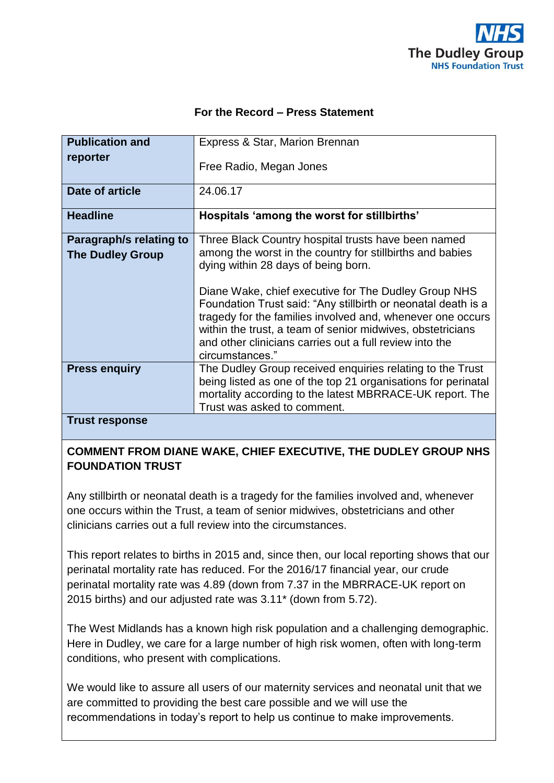

## **For the Record – Press Statement**

| <b>Publication and</b>                             | Express & Star, Marion Brennan                                                                                                                                                                                                                                                                                                                                                                                                                                          |
|----------------------------------------------------|-------------------------------------------------------------------------------------------------------------------------------------------------------------------------------------------------------------------------------------------------------------------------------------------------------------------------------------------------------------------------------------------------------------------------------------------------------------------------|
| reporter                                           | Free Radio, Megan Jones                                                                                                                                                                                                                                                                                                                                                                                                                                                 |
| <b>Date of article</b>                             | 24.06.17                                                                                                                                                                                                                                                                                                                                                                                                                                                                |
| <b>Headline</b>                                    | Hospitals 'among the worst for stillbirths'                                                                                                                                                                                                                                                                                                                                                                                                                             |
| Paragraph/s relating to<br><b>The Dudley Group</b> | Three Black Country hospital trusts have been named<br>among the worst in the country for stillbirths and babies<br>dying within 28 days of being born.<br>Diane Wake, chief executive for The Dudley Group NHS<br>Foundation Trust said: "Any stillbirth or neonatal death is a<br>tragedy for the families involved and, whenever one occurs<br>within the trust, a team of senior midwives, obstetricians<br>and other clinicians carries out a full review into the |
| <b>Press enguiry</b>                               | circumstances."<br>The Dudley Group received enquiries relating to the Trust<br>being listed as one of the top 21 organisations for perinatal<br>mortality according to the latest MBRRACE-UK report. The<br>Trust was asked to comment.                                                                                                                                                                                                                                |
| <b>Trust response</b>                              |                                                                                                                                                                                                                                                                                                                                                                                                                                                                         |

**Trust response**

## **COMMENT FROM DIANE WAKE, CHIEF EXECUTIVE, THE DUDLEY GROUP NHS FOUNDATION TRUST**

Any stillbirth or neonatal death is a tragedy for the families involved and, whenever one occurs within the Trust, a team of senior midwives, obstetricians and other clinicians carries out a full review into the circumstances.

This report relates to births in 2015 and, since then, our local reporting shows that our perinatal mortality rate has reduced. For the 2016/17 financial year, our crude perinatal mortality rate was 4.89 (down from 7.37 in the MBRRACE-UK report on 2015 births) and our adjusted rate was 3.11\* (down from 5.72).

The West Midlands has a known high risk population and a challenging demographic. Here in Dudley, we care for a large number of high risk women, often with long-term conditions, who present with complications.

We would like to assure all users of our maternity services and neonatal unit that we are committed to providing the best care possible and we will use the recommendations in today's report to help us continue to make improvements.